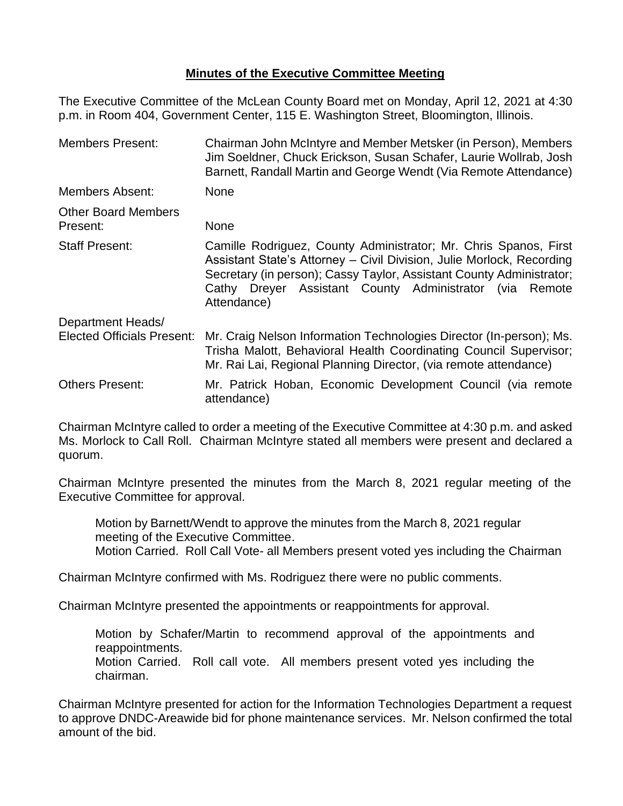## **Minutes of the Executive Committee Meeting**

The Executive Committee of the McLean County Board met on Monday, April 12, 2021 at 4:30 p.m. in Room 404, Government Center, 115 E. Washington Street, Bloomington, Illinois.

| <b>Members Present:</b>                                | Chairman John McIntyre and Member Metsker (in Person), Members<br>Jim Soeldner, Chuck Erickson, Susan Schafer, Laurie Wollrab, Josh<br>Barnett, Randall Martin and George Wendt (Via Remote Attendance)                                                                                     |  |
|--------------------------------------------------------|---------------------------------------------------------------------------------------------------------------------------------------------------------------------------------------------------------------------------------------------------------------------------------------------|--|
| <b>Members Absent:</b>                                 | <b>None</b>                                                                                                                                                                                                                                                                                 |  |
| <b>Other Board Members</b><br>Present:                 | <b>None</b>                                                                                                                                                                                                                                                                                 |  |
| <b>Staff Present:</b>                                  | Camille Rodriguez, County Administrator; Mr. Chris Spanos, First<br>Assistant State's Attorney - Civil Division, Julie Morlock, Recording<br>Secretary (in person); Cassy Taylor, Assistant County Administrator;<br>Cathy Dreyer Assistant County Administrator (via Remote<br>Attendance) |  |
| Department Heads/<br><b>Elected Officials Present:</b> | Mr. Craig Nelson Information Technologies Director (In-person); Ms.<br>Trisha Malott, Behavioral Health Coordinating Council Supervisor;<br>Mr. Rai Lai, Regional Planning Director, (via remote attendance)                                                                                |  |
| <b>Others Present:</b>                                 | Mr. Patrick Hoban, Economic Development Council (via remote<br>attendance)                                                                                                                                                                                                                  |  |

Chairman McIntyre called to order a meeting of the Executive Committee at 4:30 p.m. and asked Ms. Morlock to Call Roll. Chairman McIntyre stated all members were present and declared a quorum.

Chairman McIntyre presented the minutes from the March 8, 2021 regular meeting of the Executive Committee for approval.

Motion by Barnett/Wendt to approve the minutes from the March 8, 2021 regular meeting of the Executive Committee. Motion Carried. Roll Call Vote- all Members present voted yes including the Chairman

Chairman McIntyre confirmed with Ms. Rodriguez there were no public comments.

Chairman McIntyre presented the appointments or reappointments for approval.

Motion by Schafer/Martin to recommend approval of the appointments and reappointments.

Motion Carried. Roll call vote. All members present voted yes including the chairman.

Chairman McIntyre presented for action for the Information Technologies Department a request to approve DNDC-Areawide bid for phone maintenance services. Mr. Nelson confirmed the total amount of the bid.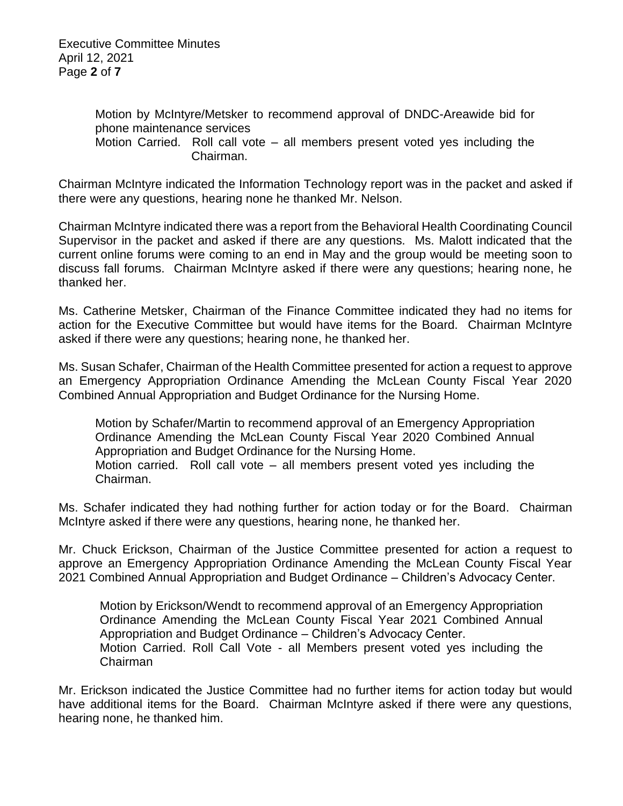Executive Committee Minutes April 12, 2021 Page **2** of **7**

> Motion by McIntyre/Metsker to recommend approval of DNDC-Areawide bid for phone maintenance services Motion Carried. Roll call vote – all members present voted yes including the Chairman.

Chairman McIntyre indicated the Information Technology report was in the packet and asked if there were any questions, hearing none he thanked Mr. Nelson.

Chairman McIntyre indicated there was a report from the Behavioral Health Coordinating Council Supervisor in the packet and asked if there are any questions. Ms. Malott indicated that the current online forums were coming to an end in May and the group would be meeting soon to discuss fall forums. Chairman McIntyre asked if there were any questions; hearing none, he thanked her.

Ms. Catherine Metsker, Chairman of the Finance Committee indicated they had no items for action for the Executive Committee but would have items for the Board. Chairman McIntyre asked if there were any questions; hearing none, he thanked her.

Ms. Susan Schafer, Chairman of the Health Committee presented for action a request to approve an Emergency Appropriation Ordinance Amending the McLean County Fiscal Year 2020 Combined Annual Appropriation and Budget Ordinance for the Nursing Home.

Motion by Schafer/Martin to recommend approval of an Emergency Appropriation Ordinance Amending the McLean County Fiscal Year 2020 Combined Annual Appropriation and Budget Ordinance for the Nursing Home. Motion carried. Roll call vote – all members present voted yes including the Chairman.

Ms. Schafer indicated they had nothing further for action today or for the Board. Chairman McIntyre asked if there were any questions, hearing none, he thanked her.

Mr. Chuck Erickson, Chairman of the Justice Committee presented for action a request to approve an Emergency Appropriation Ordinance Amending the McLean County Fiscal Year 2021 Combined Annual Appropriation and Budget Ordinance – Children's Advocacy Center.

Motion by Erickson/Wendt to recommend approval of an Emergency Appropriation Ordinance Amending the McLean County Fiscal Year 2021 Combined Annual Appropriation and Budget Ordinance – Children's Advocacy Center. Motion Carried. Roll Call Vote - all Members present voted yes including the Chairman

Mr. Erickson indicated the Justice Committee had no further items for action today but would have additional items for the Board. Chairman McIntyre asked if there were any questions, hearing none, he thanked him.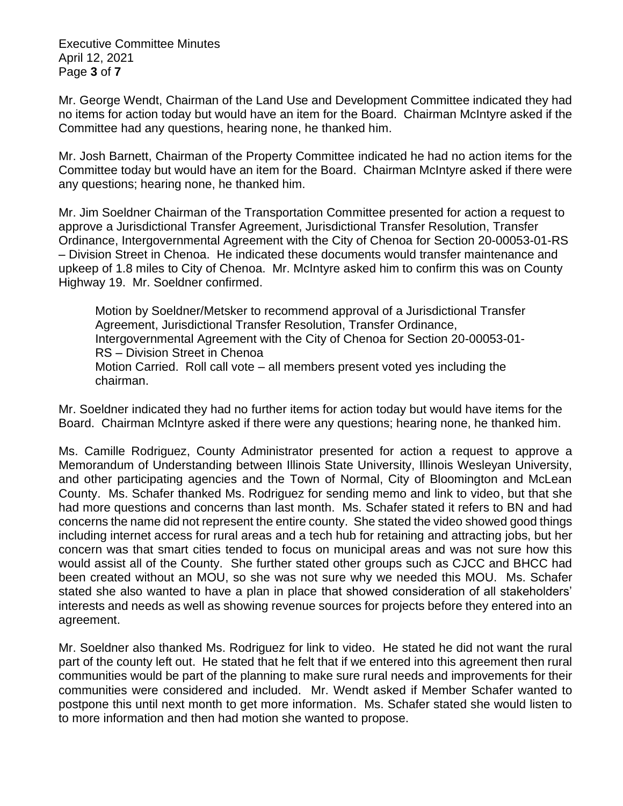Executive Committee Minutes April 12, 2021 Page **3** of **7**

Mr. George Wendt, Chairman of the Land Use and Development Committee indicated they had no items for action today but would have an item for the Board. Chairman McIntyre asked if the Committee had any questions, hearing none, he thanked him.

Mr. Josh Barnett, Chairman of the Property Committee indicated he had no action items for the Committee today but would have an item for the Board. Chairman McIntyre asked if there were any questions; hearing none, he thanked him.

Mr. Jim Soeldner Chairman of the Transportation Committee presented for action a request to approve a Jurisdictional Transfer Agreement, Jurisdictional Transfer Resolution, Transfer Ordinance, Intergovernmental Agreement with the City of Chenoa for Section 20-00053-01-RS – Division Street in Chenoa. He indicated these documents would transfer maintenance and upkeep of 1.8 miles to City of Chenoa. Mr. McIntyre asked him to confirm this was on County Highway 19. Mr. Soeldner confirmed.

Motion by Soeldner/Metsker to recommend approval of a Jurisdictional Transfer Agreement, Jurisdictional Transfer Resolution, Transfer Ordinance, Intergovernmental Agreement with the City of Chenoa for Section 20-00053-01- RS – Division Street in Chenoa Motion Carried. Roll call vote – all members present voted yes including the chairman.

Mr. Soeldner indicated they had no further items for action today but would have items for the Board. Chairman McIntyre asked if there were any questions; hearing none, he thanked him.

Ms. Camille Rodriguez, County Administrator presented for action a request to approve a Memorandum of Understanding between Illinois State University, Illinois Wesleyan University, and other participating agencies and the Town of Normal, City of Bloomington and McLean County. Ms. Schafer thanked Ms. Rodriguez for sending memo and link to video, but that she had more questions and concerns than last month. Ms. Schafer stated it refers to BN and had concerns the name did not represent the entire county. She stated the video showed good things including internet access for rural areas and a tech hub for retaining and attracting jobs, but her concern was that smart cities tended to focus on municipal areas and was not sure how this would assist all of the County. She further stated other groups such as CJCC and BHCC had been created without an MOU, so she was not sure why we needed this MOU. Ms. Schafer stated she also wanted to have a plan in place that showed consideration of all stakeholders' interests and needs as well as showing revenue sources for projects before they entered into an agreement.

Mr. Soeldner also thanked Ms. Rodriguez for link to video. He stated he did not want the rural part of the county left out. He stated that he felt that if we entered into this agreement then rural communities would be part of the planning to make sure rural needs and improvements for their communities were considered and included. Mr. Wendt asked if Member Schafer wanted to postpone this until next month to get more information. Ms. Schafer stated she would listen to to more information and then had motion she wanted to propose.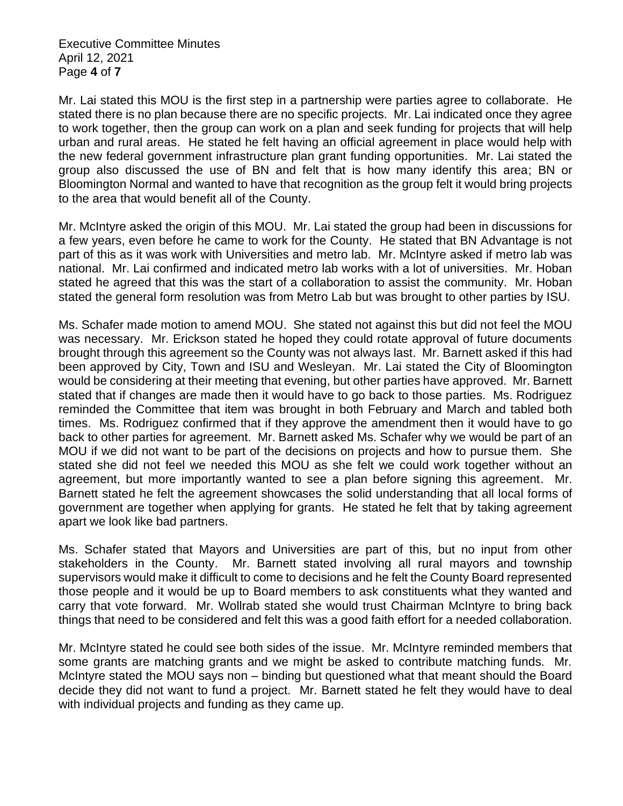Executive Committee Minutes April 12, 2021 Page **4** of **7**

Mr. Lai stated this MOU is the first step in a partnership were parties agree to collaborate. He stated there is no plan because there are no specific projects. Mr. Lai indicated once they agree to work together, then the group can work on a plan and seek funding for projects that will help urban and rural areas. He stated he felt having an official agreement in place would help with the new federal government infrastructure plan grant funding opportunities. Mr. Lai stated the group also discussed the use of BN and felt that is how many identify this area; BN or Bloomington Normal and wanted to have that recognition as the group felt it would bring projects to the area that would benefit all of the County.

Mr. McIntyre asked the origin of this MOU. Mr. Lai stated the group had been in discussions for a few years, even before he came to work for the County. He stated that BN Advantage is not part of this as it was work with Universities and metro lab. Mr. McIntyre asked if metro lab was national. Mr. Lai confirmed and indicated metro lab works with a lot of universities. Mr. Hoban stated he agreed that this was the start of a collaboration to assist the community. Mr. Hoban stated the general form resolution was from Metro Lab but was brought to other parties by ISU.

Ms. Schafer made motion to amend MOU. She stated not against this but did not feel the MOU was necessary. Mr. Erickson stated he hoped they could rotate approval of future documents brought through this agreement so the County was not always last. Mr. Barnett asked if this had been approved by City, Town and ISU and Wesleyan. Mr. Lai stated the City of Bloomington would be considering at their meeting that evening, but other parties have approved. Mr. Barnett stated that if changes are made then it would have to go back to those parties. Ms. Rodriguez reminded the Committee that item was brought in both February and March and tabled both times. Ms. Rodriguez confirmed that if they approve the amendment then it would have to go back to other parties for agreement. Mr. Barnett asked Ms. Schafer why we would be part of an MOU if we did not want to be part of the decisions on projects and how to pursue them. She stated she did not feel we needed this MOU as she felt we could work together without an agreement, but more importantly wanted to see a plan before signing this agreement. Mr. Barnett stated he felt the agreement showcases the solid understanding that all local forms of government are together when applying for grants. He stated he felt that by taking agreement apart we look like bad partners.

Ms. Schafer stated that Mayors and Universities are part of this, but no input from other stakeholders in the County. Mr. Barnett stated involving all rural mayors and township supervisors would make it difficult to come to decisions and he felt the County Board represented those people and it would be up to Board members to ask constituents what they wanted and carry that vote forward. Mr. Wollrab stated she would trust Chairman McIntyre to bring back things that need to be considered and felt this was a good faith effort for a needed collaboration.

Mr. McIntyre stated he could see both sides of the issue. Mr. McIntyre reminded members that some grants are matching grants and we might be asked to contribute matching funds. Mr. McIntyre stated the MOU says non – binding but questioned what that meant should the Board decide they did not want to fund a project. Mr. Barnett stated he felt they would have to deal with individual projects and funding as they came up.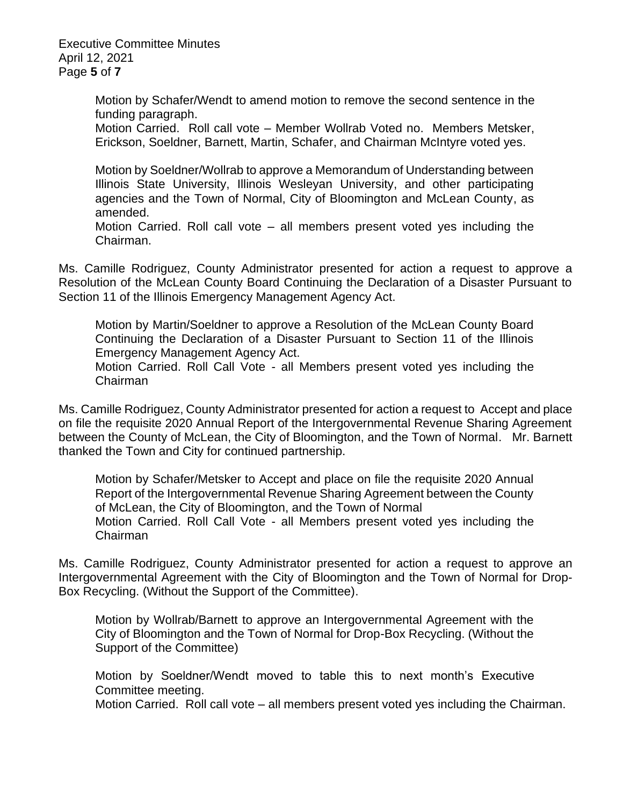Executive Committee Minutes April 12, 2021 Page **5** of **7**

> Motion by Schafer/Wendt to amend motion to remove the second sentence in the funding paragraph.

> Motion Carried. Roll call vote – Member Wollrab Voted no. Members Metsker, Erickson, Soeldner, Barnett, Martin, Schafer, and Chairman McIntyre voted yes.

> Motion by Soeldner/Wollrab to approve a Memorandum of Understanding between Illinois State University, Illinois Wesleyan University, and other participating agencies and the Town of Normal, City of Bloomington and McLean County, as amended.

> Motion Carried. Roll call vote – all members present voted yes including the Chairman.

Ms. Camille Rodriguez, County Administrator presented for action a request to approve a Resolution of the McLean County Board Continuing the Declaration of a Disaster Pursuant to Section 11 of the Illinois Emergency Management Agency Act.

Motion by Martin/Soeldner to approve a Resolution of the McLean County Board Continuing the Declaration of a Disaster Pursuant to Section 11 of the Illinois Emergency Management Agency Act.

Motion Carried. Roll Call Vote - all Members present voted yes including the Chairman

Ms. Camille Rodriguez, County Administrator presented for action a request to Accept and place on file the requisite 2020 Annual Report of the Intergovernmental Revenue Sharing Agreement between the County of McLean, the City of Bloomington, and the Town of Normal. Mr. Barnett thanked the Town and City for continued partnership.

Motion by Schafer/Metsker to Accept and place on file the requisite 2020 Annual Report of the Intergovernmental Revenue Sharing Agreement between the County of McLean, the City of Bloomington, and the Town of Normal Motion Carried. Roll Call Vote - all Members present voted yes including the Chairman

Ms. Camille Rodriguez, County Administrator presented for action a request to approve an Intergovernmental Agreement with the City of Bloomington and the Town of Normal for Drop-Box Recycling. (Without the Support of the Committee).

Motion by Wollrab/Barnett to approve an Intergovernmental Agreement with the City of Bloomington and the Town of Normal for Drop-Box Recycling. (Without the Support of the Committee)

Motion by Soeldner/Wendt moved to table this to next month's Executive Committee meeting.

Motion Carried. Roll call vote – all members present voted yes including the Chairman.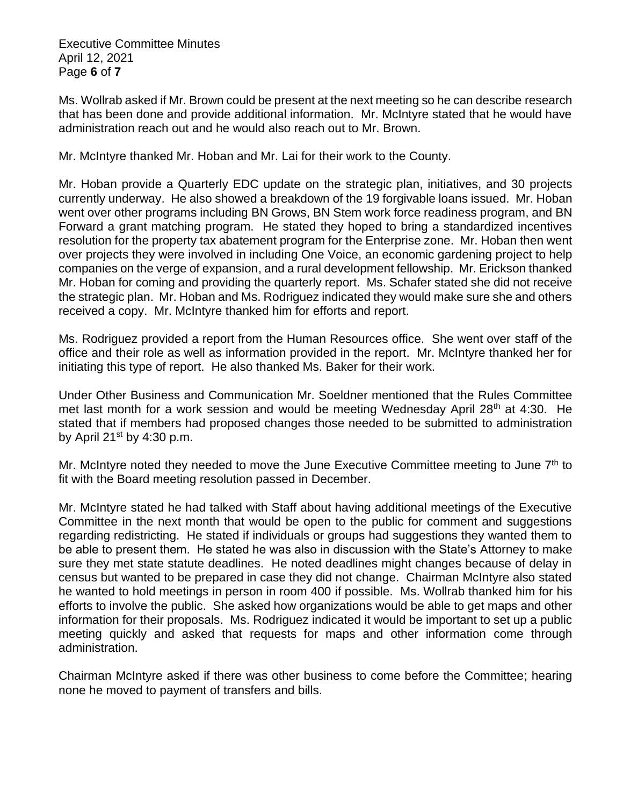Executive Committee Minutes April 12, 2021 Page **6** of **7**

Ms. Wollrab asked if Mr. Brown could be present at the next meeting so he can describe research that has been done and provide additional information. Mr. McIntyre stated that he would have administration reach out and he would also reach out to Mr. Brown.

Mr. McIntyre thanked Mr. Hoban and Mr. Lai for their work to the County.

Mr. Hoban provide a Quarterly EDC update on the strategic plan, initiatives, and 30 projects currently underway. He also showed a breakdown of the 19 forgivable loans issued. Mr. Hoban went over other programs including BN Grows, BN Stem work force readiness program, and BN Forward a grant matching program. He stated they hoped to bring a standardized incentives resolution for the property tax abatement program for the Enterprise zone. Mr. Hoban then went over projects they were involved in including One Voice, an economic gardening project to help companies on the verge of expansion, and a rural development fellowship. Mr. Erickson thanked Mr. Hoban for coming and providing the quarterly report. Ms. Schafer stated she did not receive the strategic plan. Mr. Hoban and Ms. Rodriguez indicated they would make sure she and others received a copy. Mr. McIntyre thanked him for efforts and report.

Ms. Rodriguez provided a report from the Human Resources office. She went over staff of the office and their role as well as information provided in the report. Mr. McIntyre thanked her for initiating this type of report. He also thanked Ms. Baker for their work.

Under Other Business and Communication Mr. Soeldner mentioned that the Rules Committee met last month for a work session and would be meeting Wednesday April 28<sup>th</sup> at 4:30. He stated that if members had proposed changes those needed to be submitted to administration by April  $21^{st}$  by 4:30 p.m.

Mr. McIntyre noted they needed to move the June Executive Committee meeting to June 7<sup>th</sup> to fit with the Board meeting resolution passed in December.

Mr. McIntyre stated he had talked with Staff about having additional meetings of the Executive Committee in the next month that would be open to the public for comment and suggestions regarding redistricting. He stated if individuals or groups had suggestions they wanted them to be able to present them. He stated he was also in discussion with the State's Attorney to make sure they met state statute deadlines. He noted deadlines might changes because of delay in census but wanted to be prepared in case they did not change. Chairman McIntyre also stated he wanted to hold meetings in person in room 400 if possible. Ms. Wollrab thanked him for his efforts to involve the public. She asked how organizations would be able to get maps and other information for their proposals. Ms. Rodriguez indicated it would be important to set up a public meeting quickly and asked that requests for maps and other information come through administration.

Chairman McIntyre asked if there was other business to come before the Committee; hearing none he moved to payment of transfers and bills.